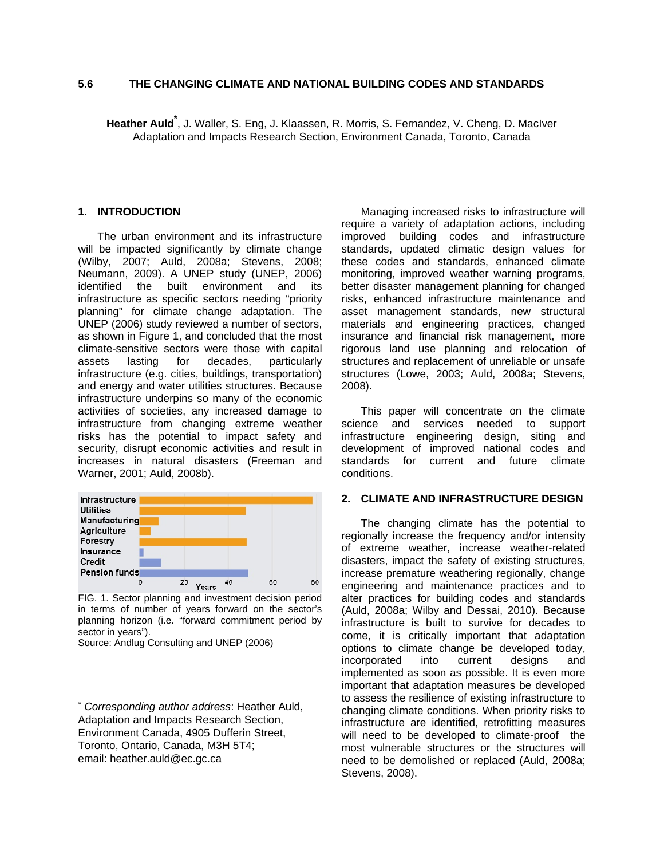## **5.6 THE CHANGING CLIMATE AND NATIONAL BUILDING CODES AND STANDARDS**

**Heather Auld\*** , J. Waller, S. Eng, J. Klaassen, R. Morris, S. Fernandez, V. Cheng, D. MacIver Adaptation and Impacts Research Section, Environment Canada, Toronto, Canada

#### **1. INTRODUCTION**

The urban environment and its infrastructure will be impacted significantly by climate change (Wilby, 2007; Auld, 2008a; Stevens, 2008; Neumann, 2009). A UNEP study (UNEP, 2006) identified the built environment and its infrastructure as specific sectors needing "priority planning" for climate change adaptation. The UNEP (2006) study reviewed a number of sectors, as shown in Figure 1, and concluded that the most climate-sensitive sectors were those with capital assets lasting for decades, particularly infrastructure (e.g. cities, buildings, transportation) and energy and water utilities structures. Because infrastructure underpins so many of the economic activities of societies, any increased damage to infrastructure from changing extreme weather risks has the potential to impact safety and security, disrupt economic activities and result in increases in natural disasters (Freeman and Warner, 2001; Auld, 2008b).



FIG. 1. Sector planning and investment decision period in terms of number of years forward on the sector's planning horizon (i.e. "forward commitment period by sector in years").

Source: Andlug Consulting and UNEP (2006)

Managing increased risks to infrastructure will require a variety of adaptation actions, including improved building codes and infrastructure standards, updated climatic design values for these codes and standards, enhanced climate monitoring, improved weather warning programs, better disaster management planning for changed risks, enhanced infrastructure maintenance and asset management standards, new structural materials and engineering practices, changed insurance and financial risk management, more rigorous land use planning and relocation of structures and replacement of unreliable or unsafe structures (Lowe, 2003; Auld, 2008a; Stevens, 2008).

This paper will concentrate on the climate science and services needed to support infrastructure engineering design, siting and development of improved national codes and standards for current and future climate conditions.

#### **2. CLIMATE AND INFRASTRUCTURE DESIGN**

The changing climate has the potential to regionally increase the frequency and/or intensity of extreme weather, increase weather-related disasters, impact the safety of existing structures, increase premature weathering regionally, change engineering and maintenance practices and to alter practices for building codes and standards (Auld, 2008a; Wilby and Dessai, 2010). Because infrastructure is built to survive for decades to come, it is critically important that adaptation options to climate change be developed today, incorporated into current designs and implemented as soon as possible. It is even more important that adaptation measures be developed to assess the resilience of existing infrastructure to changing climate conditions. When priority risks to infrastructure are identified, retrofitting measures will need to be developed to climate-proof the most vulnerable structures or the structures will need to be demolished or replaced (Auld, 2008a; Stevens, 2008).

<sup>∗</sup> *Corresponding author address*: Heather Auld, Adaptation and Impacts Research Section, Environment Canada, 4905 Dufferin Street, Toronto, Ontario, Canada, M3H 5T4; email: heather.auld@ec.gc.ca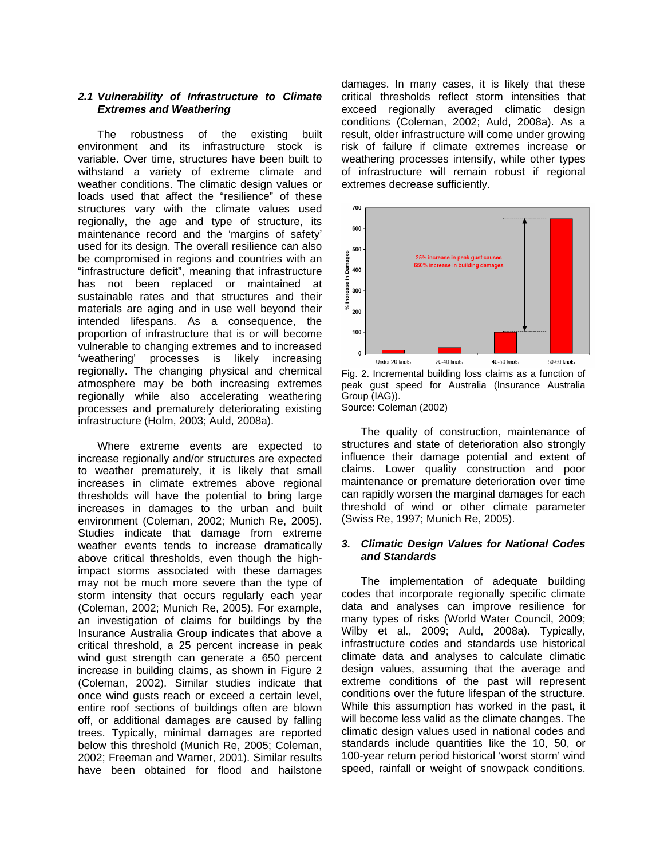### *2.1 Vulnerability of Infrastructure to Climate Extremes and Weathering*

The robustness of the existing built environment and its infrastructure stock is variable. Over time, structures have been built to withstand a variety of extreme climate and weather conditions. The climatic design values or loads used that affect the "resilience" of these structures vary with the climate values used regionally, the age and type of structure, its maintenance record and the 'margins of safety' used for its design. The overall resilience can also be compromised in regions and countries with an "infrastructure deficit", meaning that infrastructure has not been replaced or maintained at sustainable rates and that structures and their materials are aging and in use well beyond their intended lifespans. As a consequence, the proportion of infrastructure that is or will become vulnerable to changing extremes and to increased 'weathering' processes is likely increasing regionally. The changing physical and chemical atmosphere may be both increasing extremes regionally while also accelerating weathering processes and prematurely deteriorating existing infrastructure (Holm, 2003; Auld, 2008a).

Where extreme events are expected to increase regionally and/or structures are expected to weather prematurely, it is likely that small increases in climate extremes above regional thresholds will have the potential to bring large increases in damages to the urban and built environment (Coleman, 2002; Munich Re, 2005). Studies indicate that damage from extreme weather events tends to increase dramatically above critical thresholds, even though the highimpact storms associated with these damages may not be much more severe than the type of storm intensity that occurs regularly each year (Coleman, 2002; Munich Re, 2005). For example, an investigation of claims for buildings by the Insurance Australia Group indicates that above a critical threshold, a 25 percent increase in peak wind gust strength can generate a 650 percent increase in building claims, as shown in Figure 2 (Coleman, 2002). Similar studies indicate that once wind gusts reach or exceed a certain level, entire roof sections of buildings often are blown off, or additional damages are caused by falling trees. Typically, minimal damages are reported below this threshold (Munich Re, 2005; Coleman, 2002; Freeman and Warner, 2001). Similar results have been obtained for flood and hailstone

damages. In many cases, it is likely that these critical thresholds reflect storm intensities that exceed regionally averaged climatic design conditions (Coleman, 2002; Auld, 2008a). As a result, older infrastructure will come under growing risk of failure if climate extremes increase or weathering processes intensify, while other types of infrastructure will remain robust if regional extremes decrease sufficiently.



Fig. 2. Incremental building loss claims as a function of peak gust speed for Australia (Insurance Australia Group (IAG)). Source: Coleman (2002)

The quality of construction, maintenance of structures and state of deterioration also strongly influence their damage potential and extent of claims. Lower quality construction and poor maintenance or premature deterioration over time can rapidly worsen the marginal damages for each threshold of wind or other climate parameter (Swiss Re, 1997; Munich Re, 2005).

#### *3. Climatic Design Values for National Codes and Standards*

The implementation of adequate building codes that incorporate regionally specific climate data and analyses can improve resilience for many types of risks (World Water Council, 2009; Wilby et al., 2009; Auld, 2008a). Typically, infrastructure codes and standards use historical climate data and analyses to calculate climatic design values, assuming that the average and extreme conditions of the past will represent conditions over the future lifespan of the structure. While this assumption has worked in the past, it will become less valid as the climate changes. The climatic design values used in national codes and standards include quantities like the 10, 50, or 100-year return period historical 'worst storm' wind speed, rainfall or weight of snowpack conditions.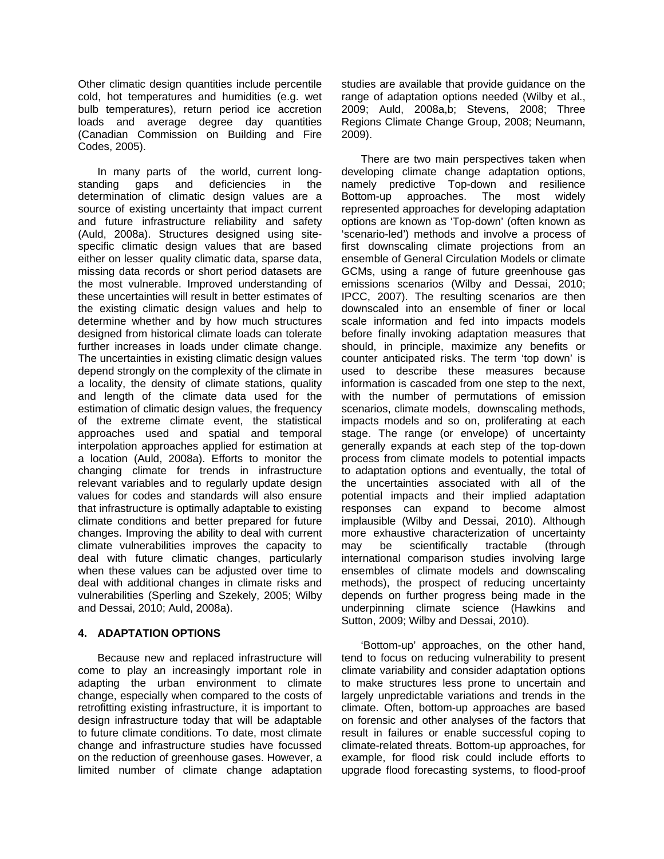Other climatic design quantities include percentile cold, hot temperatures and humidities (e.g. wet bulb temperatures), return period ice accretion loads and average degree day quantities (Canadian Commission on Building and Fire Codes, 2005).

In many parts of the world, current longstanding gaps and deficiencies in the determination of climatic design values are a source of existing uncertainty that impact current and future infrastructure reliability and safety (Auld, 2008a). Structures designed using sitespecific climatic design values that are based either on lesser quality climatic data, sparse data, missing data records or short period datasets are the most vulnerable. Improved understanding of these uncertainties will result in better estimates of the existing climatic design values and help to determine whether and by how much structures designed from historical climate loads can tolerate further increases in loads under climate change. The uncertainties in existing climatic design values depend strongly on the complexity of the climate in a locality, the density of climate stations, quality and length of the climate data used for the estimation of climatic design values, the frequency of the extreme climate event, the statistical approaches used and spatial and temporal interpolation approaches applied for estimation at a location (Auld, 2008a). Efforts to monitor the changing climate for trends in infrastructure relevant variables and to regularly update design values for codes and standards will also ensure that infrastructure is optimally adaptable to existing climate conditions and better prepared for future changes. Improving the ability to deal with current climate vulnerabilities improves the capacity to deal with future climatic changes, particularly when these values can be adjusted over time to deal with additional changes in climate risks and vulnerabilities (Sperling and Szekely, 2005; Wilby and Dessai, 2010; Auld, 2008a).

# **4. ADAPTATION OPTIONS**

Because new and replaced infrastructure will come to play an increasingly important role in adapting the urban environment to climate change, especially when compared to the costs of retrofitting existing infrastructure, it is important to design infrastructure today that will be adaptable to future climate conditions. To date, most climate change and infrastructure studies have focussed on the reduction of greenhouse gases. However, a limited number of climate change adaptation studies are available that provide guidance on the range of adaptation options needed (Wilby et al., 2009; Auld, 2008a,b; Stevens, 2008; Three Regions Climate Change Group, 2008; Neumann, 2009).

There are two main perspectives taken when developing climate change adaptation options, namely predictive Top-down and resilience Bottom-up approaches. The most widely represented approaches for developing adaptation options are known as 'Top-down' (often known as 'scenario-led') methods and involve a process of first downscaling climate projections from an ensemble of General Circulation Models or climate GCMs, using a range of future greenhouse gas emissions scenarios (Wilby and Dessai, 2010; IPCC, 2007). The resulting scenarios are then downscaled into an ensemble of finer or local scale information and fed into impacts models before finally invoking adaptation measures that should, in principle, maximize any benefits or counter anticipated risks. The term 'top down' is used to describe these measures because information is cascaded from one step to the next, with the number of permutations of emission scenarios, climate models, downscaling methods, impacts models and so on, proliferating at each stage. The range (or envelope) of uncertainty generally expands at each step of the top-down process from climate models to potential impacts to adaptation options and eventually, the total of the uncertainties associated with all of the potential impacts and their implied adaptation responses can expand to become almost implausible (Wilby and Dessai, 2010). Although more exhaustive characterization of uncertainty may be scientifically tractable (through international comparison studies involving large ensembles of climate models and downscaling methods), the prospect of reducing uncertainty depends on further progress being made in the underpinning climate science (Hawkins and Sutton, 2009; Wilby and Dessai, 2010).

'Bottom-up' approaches, on the other hand, tend to focus on reducing vulnerability to present climate variability and consider adaptation options to make structures less prone to uncertain and largely unpredictable variations and trends in the climate. Often, bottom-up approaches are based on forensic and other analyses of the factors that result in failures or enable successful coping to climate-related threats. Bottom-up approaches, for example, for flood risk could include efforts to upgrade flood forecasting systems, to flood-proof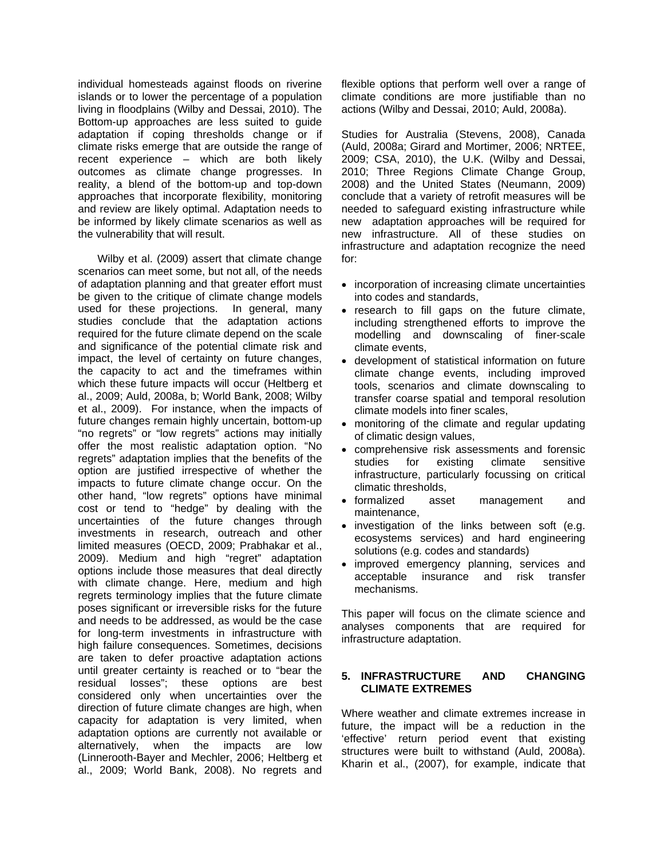individual homesteads against floods on riverine islands or to lower the percentage of a population living in floodplains (Wilby and Dessai, 2010). The Bottom-up approaches are less suited to guide adaptation if coping thresholds change or if climate risks emerge that are outside the range of recent experience – which are both likely outcomes as climate change progresses. In reality, a blend of the bottom-up and top-down approaches that incorporate flexibility, monitoring and review are likely optimal. Adaptation needs to be informed by likely climate scenarios as well as the vulnerability that will result.

Wilby et al. (2009) assert that climate change scenarios can meet some, but not all, of the needs of adaptation planning and that greater effort must be given to the critique of climate change models used for these projections. In general, many studies conclude that the adaptation actions required for the future climate depend on the scale and significance of the potential climate risk and impact, the level of certainty on future changes, the capacity to act and the timeframes within which these future impacts will occur (Heltberg et al., 2009; Auld, 2008a, b; World Bank, 2008; Wilby et al., 2009). For instance, when the impacts of future changes remain highly uncertain, bottom-up "no regrets" or "low regrets" actions may initially offer the most realistic adaptation option. "No regrets" adaptation implies that the benefits of the option are justified irrespective of whether the impacts to future climate change occur. On the other hand, "low regrets" options have minimal cost or tend to "hedge" by dealing with the uncertainties of the future changes through investments in research, outreach and other limited measures (OECD, 2009; Prabhakar et al., 2009). Medium and high "regret" adaptation options include those measures that deal directly with climate change. Here, medium and high regrets terminology implies that the future climate poses significant or irreversible risks for the future and needs to be addressed, as would be the case for long-term investments in infrastructure with high failure consequences. Sometimes, decisions are taken to defer proactive adaptation actions until greater certainty is reached or to "bear the residual losses"; these options are best considered only when uncertainties over the direction of future climate changes are high, when capacity for adaptation is very limited, when adaptation options are currently not available or alternatively, when the impacts are low (Linnerooth-Bayer and Mechler, 2006; Heltberg et al., 2009; World Bank, 2008). No regrets and

flexible options that perform well over a range of climate conditions are more justifiable than no actions (Wilby and Dessai, 2010; Auld, 2008a).

Studies for Australia (Stevens, 2008), Canada (Auld, 2008a; Girard and Mortimer, 2006; NRTEE, 2009; CSA, 2010), the U.K. (Wilby and Dessai, 2010; Three Regions Climate Change Group, 2008) and the United States (Neumann, 2009) conclude that a variety of retrofit measures will be needed to safeguard existing infrastructure while new adaptation approaches will be required for new infrastructure. All of these studies on infrastructure and adaptation recognize the need for:

- incorporation of increasing climate uncertainties into codes and standards,
- research to fill gaps on the future climate, including strengthened efforts to improve the modelling and downscaling of finer-scale climate events,
- development of statistical information on future climate change events, including improved tools, scenarios and climate downscaling to transfer coarse spatial and temporal resolution climate models into finer scales,
- monitoring of the climate and regular updating of climatic design values,
- comprehensive risk assessments and forensic studies for existing climate sensitive infrastructure, particularly focussing on critical climatic thresholds,
- formalized asset management and maintenance,
- investigation of the links between soft (e.g. ecosystems services) and hard engineering solutions (e.g. codes and standards)
- improved emergency planning, services and acceptable insurance and risk transfer mechanisms.

This paper will focus on the climate science and analyses components that are required for infrastructure adaptation.

## **5. INFRASTRUCTURE AND CHANGING CLIMATE EXTREMES**

Where weather and climate extremes increase in future, the impact will be a reduction in the 'effective' return period event that existing structures were built to withstand (Auld, 2008a). Kharin et al., (2007), for example, indicate that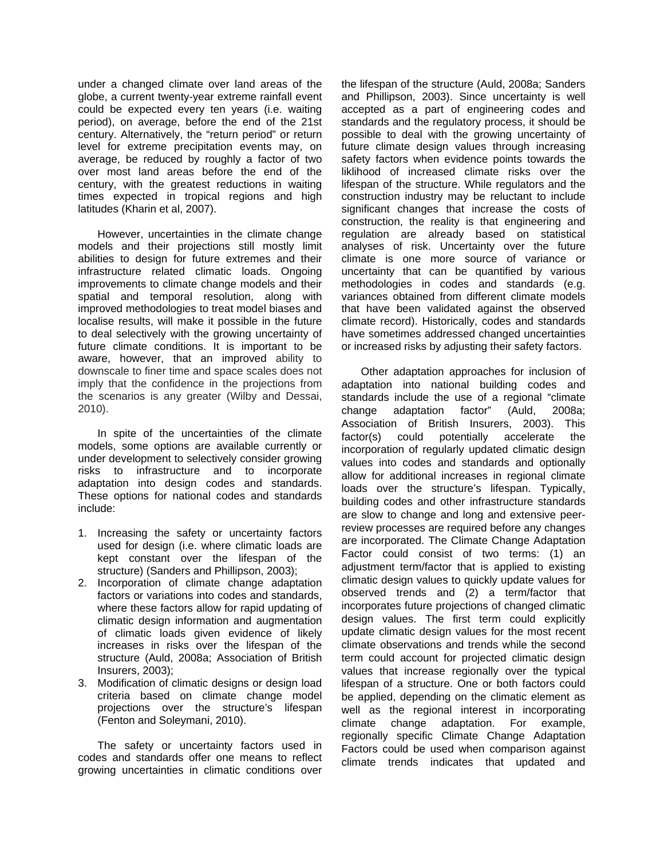under a changed climate over land areas of the globe, a current twenty-year extreme rainfall event could be expected every ten years (i.e. waiting period), on average, before the end of the 21st century. Alternatively, the "return period" or return level for extreme precipitation events may, on average, be reduced by roughly a factor of two over most land areas before the end of the century, with the greatest reductions in waiting times expected in tropical regions and high latitudes (Kharin et al, 2007).

However, uncertainties in the climate change models and their projections still mostly limit abilities to design for future extremes and their infrastructure related climatic loads. Ongoing improvements to climate change models and their spatial and temporal resolution, along with improved methodologies to treat model biases and localise results, will make it possible in the future to deal selectively with the growing uncertainty of future climate conditions. It is important to be aware, however, that an improved ability to downscale to finer time and space scales does not imply that the confidence in the projections from the scenarios is any greater (Wilby and Dessai, 2010).

In spite of the uncertainties of the climate models, some options are available currently or under development to selectively consider growing risks to infrastructure and to incorporate adaptation into design codes and standards. These options for national codes and standards include:

- 1. Increasing the safety or uncertainty factors used for design (i.e. where climatic loads are kept constant over the lifespan of the structure) (Sanders and Phillipson, 2003);
- 2. Incorporation of climate change adaptation factors or variations into codes and standards, where these factors allow for rapid updating of climatic design information and augmentation of climatic loads given evidence of likely increases in risks over the lifespan of the structure (Auld, 2008a; Association of British Insurers, 2003);
- 3. Modification of climatic designs or design load criteria based on climate change model projections over the structure's lifespan (Fenton and Soleymani, 2010).

The safety or uncertainty factors used in codes and standards offer one means to reflect growing uncertainties in climatic conditions over

the lifespan of the structure (Auld, 2008a; Sanders and Phillipson, 2003). Since uncertainty is well accepted as a part of engineering codes and standards and the regulatory process, it should be possible to deal with the growing uncertainty of future climate design values through increasing safety factors when evidence points towards the liklihood of increased climate risks over the lifespan of the structure. While regulators and the construction industry may be reluctant to include significant changes that increase the costs of construction, the reality is that engineering and regulation are already based on statistical analyses of risk. Uncertainty over the future climate is one more source of variance or uncertainty that can be quantified by various methodologies in codes and standards (e.g. variances obtained from different climate models that have been validated against the observed climate record). Historically, codes and standards have sometimes addressed changed uncertainties or increased risks by adjusting their safety factors.

Other adaptation approaches for inclusion of adaptation into national building codes and standards include the use of a regional "climate change adaptation factor" (Auld, 2008a; Association of British Insurers, 2003). This factor(s) could potentially accelerate the incorporation of regularly updated climatic design values into codes and standards and optionally allow for additional increases in regional climate loads over the structure's lifespan. Typically, building codes and other infrastructure standards are slow to change and long and extensive peerreview processes are required before any changes are incorporated. The Climate Change Adaptation Factor could consist of two terms: (1) an adjustment term/factor that is applied to existing climatic design values to quickly update values for observed trends and (2) a term/factor that incorporates future projections of changed climatic design values. The first term could explicitly update climatic design values for the most recent climate observations and trends while the second term could account for projected climatic design values that increase regionally over the typical lifespan of a structure. One or both factors could be applied, depending on the climatic element as well as the regional interest in incorporating climate change adaptation. For example, regionally specific Climate Change Adaptation Factors could be used when comparison against climate trends indicates that updated and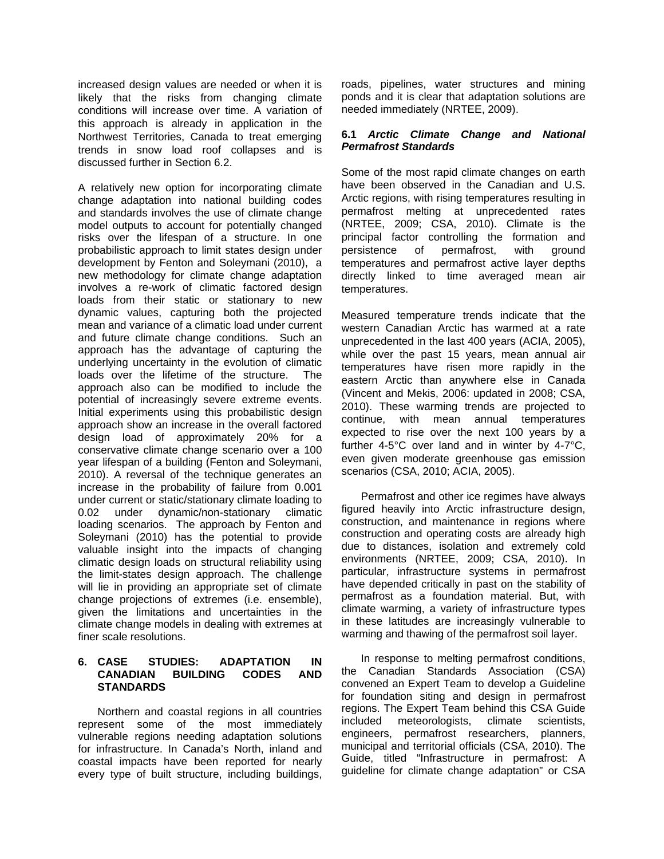increased design values are needed or when it is likely that the risks from changing climate conditions will increase over time. A variation of this approach is already in application in the Northwest Territories, Canada to treat emerging trends in snow load roof collapses and is discussed further in Section 6.2.

A relatively new option for incorporating climate change adaptation into national building codes and standards involves the use of climate change model outputs to account for potentially changed risks over the lifespan of a structure. In one probabilistic approach to limit states design under development by Fenton and Soleymani (2010), a new methodology for climate change adaptation involves a re-work of climatic factored design loads from their static or stationary to new dynamic values, capturing both the projected mean and variance of a climatic load under current and future climate change conditions. Such an approach has the advantage of capturing the underlying uncertainty in the evolution of climatic loads over the lifetime of the structure. The approach also can be modified to include the potential of increasingly severe extreme events. Initial experiments using this probabilistic design approach show an increase in the overall factored design load of approximately 20% for a conservative climate change scenario over a 100 year lifespan of a building (Fenton and Soleymani, 2010). A reversal of the technique generates an increase in the probability of failure from 0.001 under current or static/stationary climate loading to 0.02 under dynamic/non-stationary climatic loading scenarios. The approach by Fenton and Soleymani (2010) has the potential to provide valuable insight into the impacts of changing climatic design loads on structural reliability using the limit-states design approach. The challenge will lie in providing an appropriate set of climate change projections of extremes (i.e. ensemble), given the limitations and uncertainties in the climate change models in dealing with extremes at finer scale resolutions.

## **6. CASE STUDIES: ADAPTATION IN CANADIAN BUILDING CODES AND STANDARDS**

Northern and coastal regions in all countries represent some of the most immediately vulnerable regions needing adaptation solutions for infrastructure. In Canada's North, inland and coastal impacts have been reported for nearly every type of built structure, including buildings,

roads, pipelines, water structures and mining ponds and it is clear that adaptation solutions are needed immediately (NRTEE, 2009).

### **6.1** *Arctic Climate Change and National Permafrost Standards*

Some of the most rapid climate changes on earth have been observed in the Canadian and U.S. Arctic regions, with rising temperatures resulting in permafrost melting at unprecedented rates (NRTEE, 2009; CSA, 2010). Climate is the principal factor controlling the formation and persistence of permafrost, with ground temperatures and permafrost active layer depths directly linked to time averaged mean air temperatures.

Measured temperature trends indicate that the western Canadian Arctic has warmed at a rate unprecedented in the last 400 years (ACIA, 2005), while over the past 15 years, mean annual air temperatures have risen more rapidly in the eastern Arctic than anywhere else in Canada (Vincent and Mekis, 2006: updated in 2008; CSA, 2010). These warming trends are projected to continue, with mean annual temperatures expected to rise over the next 100 years by a further 4-5°C over land and in winter by 4-7°C, even given moderate greenhouse gas emission scenarios (CSA, 2010; ACIA, 2005).

Permafrost and other ice regimes have always figured heavily into Arctic infrastructure design, construction, and maintenance in regions where construction and operating costs are already high due to distances, isolation and extremely cold environments (NRTEE, 2009; CSA, 2010). In particular, infrastructure systems in permafrost have depended critically in past on the stability of permafrost as a foundation material. But, with climate warming, a variety of infrastructure types in these latitudes are increasingly vulnerable to warming and thawing of the permafrost soil layer.

In response to melting permafrost conditions, the Canadian Standards Association (CSA) convened an Expert Team to develop a Guideline for foundation siting and design in permafrost regions. The Expert Team behind this CSA Guide included meteorologists, climate scientists, engineers, permafrost researchers, planners, municipal and territorial officials (CSA, 2010). The Guide, titled "Infrastructure in permafrost: A guideline for climate change adaptation" or CSA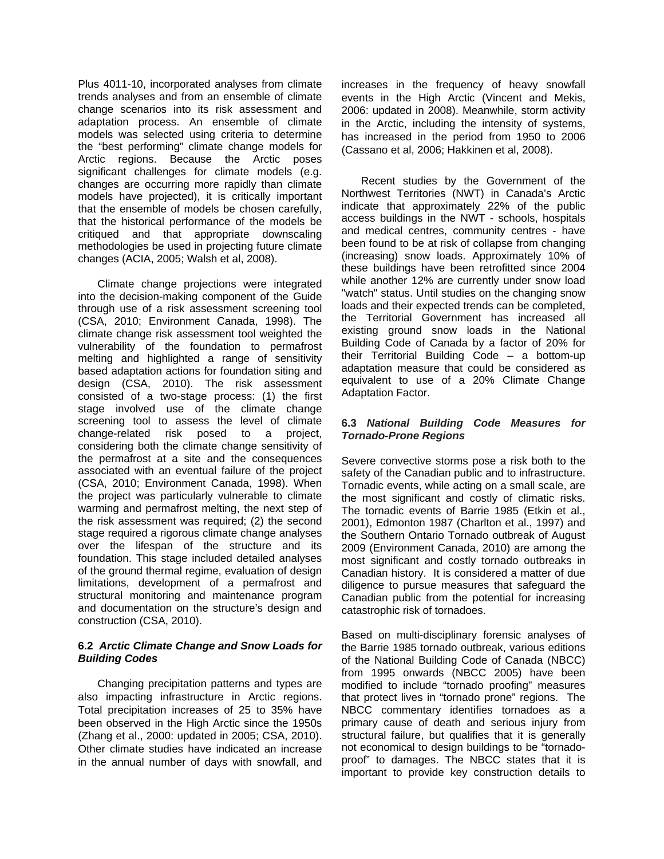Plus 4011-10, incorporated analyses from climate trends analyses and from an ensemble of climate change scenarios into its risk assessment and adaptation process. An ensemble of climate models was selected using criteria to determine the "best performing" climate change models for Arctic regions. Because the Arctic poses significant challenges for climate models (e.g. changes are occurring more rapidly than climate models have projected), it is critically important that the ensemble of models be chosen carefully, that the historical performance of the models be critiqued and that appropriate downscaling methodologies be used in projecting future climate changes (ACIA, 2005; Walsh et al, 2008).

Climate change projections were integrated into the decision-making component of the Guide through use of a risk assessment screening tool (CSA, 2010; Environment Canada, 1998). The climate change risk assessment tool weighted the vulnerability of the foundation to permafrost melting and highlighted a range of sensitivity based adaptation actions for foundation siting and design (CSA, 2010). The risk assessment consisted of a two-stage process: (1) the first stage involved use of the climate change screening tool to assess the level of climate change-related risk posed to a project, considering both the climate change sensitivity of the permafrost at a site and the consequences associated with an eventual failure of the project (CSA, 2010; Environment Canada, 1998). When the project was particularly vulnerable to climate warming and permafrost melting, the next step of the risk assessment was required; (2) the second stage required a rigorous climate change analyses over the lifespan of the structure and its foundation. This stage included detailed analyses of the ground thermal regime, evaluation of design limitations, development of a permafrost and structural monitoring and maintenance program and documentation on the structure's design and construction (CSA, 2010).

#### **6.2** *Arctic Climate Change and Snow Loads for Building Codes*

Changing precipitation patterns and types are also impacting infrastructure in Arctic regions. Total precipitation increases of 25 to 35% have been observed in the High Arctic since the 1950s (Zhang et al., 2000: updated in 2005; CSA, 2010). Other climate studies have indicated an increase in the annual number of days with snowfall, and increases in the frequency of heavy snowfall events in the High Arctic (Vincent and Mekis, 2006: updated in 2008). Meanwhile, storm activity in the Arctic, including the intensity of systems, has increased in the period from 1950 to 2006 (Cassano et al, 2006; Hakkinen et al, 2008).

Recent studies by the Government of the Northwest Territories (NWT) in Canada's Arctic indicate that approximately 22% of the public access buildings in the NWT - schools, hospitals and medical centres, community centres - have been found to be at risk of collapse from changing (increasing) snow loads. Approximately 10% of these buildings have been retrofitted since 2004 while another 12% are currently under snow load "watch" status. Until studies on the changing snow loads and their expected trends can be completed, the Territorial Government has increased all existing ground snow loads in the National Building Code of Canada by a factor of 20% for their Territorial Building Code – a bottom-up adaptation measure that could be considered as equivalent to use of a 20% Climate Change Adaptation Factor.

## **6.3** *National Building Code Measures for Tornado-Prone Regions*

Severe convective storms pose a risk both to the safety of the Canadian public and to infrastructure. Tornadic events, while acting on a small scale, are the most significant and costly of climatic risks. The tornadic events of Barrie 1985 (Etkin et al., 2001), Edmonton 1987 (Charlton et al., 1997) and the Southern Ontario Tornado outbreak of August 2009 (Environment Canada, 2010) are among the most significant and costly tornado outbreaks in Canadian history. It is considered a matter of due diligence to pursue measures that safeguard the Canadian public from the potential for increasing catastrophic risk of tornadoes.

Based on multi-disciplinary forensic analyses of the Barrie 1985 tornado outbreak, various editions of the National Building Code of Canada (NBCC) from 1995 onwards (NBCC 2005) have been modified to include "tornado proofing" measures that protect lives in "tornado prone" regions. The NBCC commentary identifies tornadoes as a primary cause of death and serious injury from structural failure, but qualifies that it is generally not economical to design buildings to be "tornadoproof" to damages. The NBCC states that it is important to provide key construction details to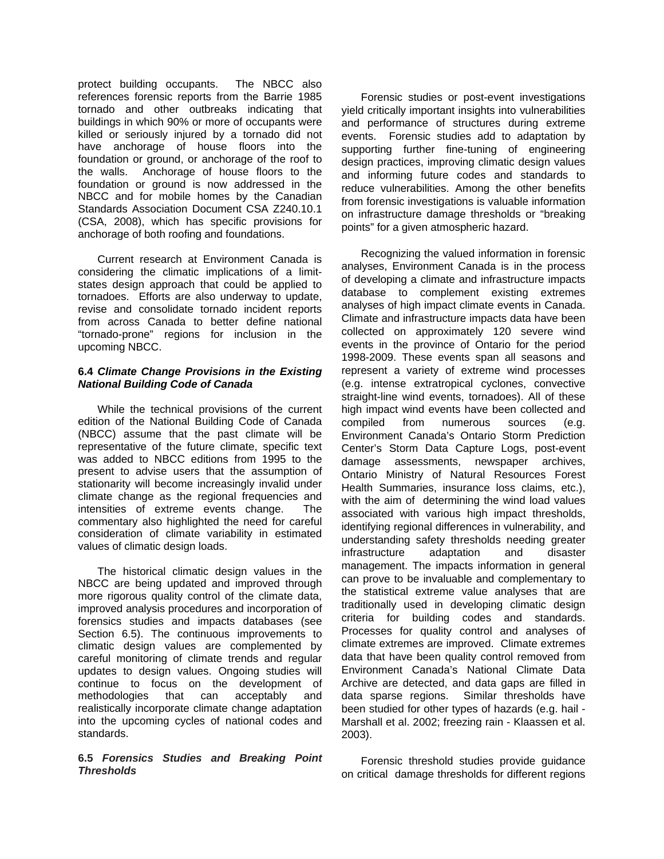protect building occupants. The NBCC also references forensic reports from the Barrie 1985 tornado and other outbreaks indicating that buildings in which 90% or more of occupants were killed or seriously injured by a tornado did not have anchorage of house floors into the foundation or ground, or anchorage of the roof to the walls. Anchorage of house floors to the foundation or ground is now addressed in the NBCC and for mobile homes by the Canadian Standards Association Document CSA Z240.10.1 (CSA, 2008), which has specific provisions for anchorage of both roofing and foundations.

Current research at Environment Canada is considering the climatic implications of a limitstates design approach that could be applied to tornadoes. Efforts are also underway to update, revise and consolidate tornado incident reports from across Canada to better define national "tornado-prone" regions for inclusion in the upcoming NBCC.

### **6.4** *Climate Change Provisions in the Existing National Building Code of Canada*

While the technical provisions of the current edition of the National Building Code of Canada (NBCC) assume that the past climate will be representative of the future climate, specific text was added to NBCC editions from 1995 to the present to advise users that the assumption of stationarity will become increasingly invalid under climate change as the regional frequencies and intensities of extreme events change. The commentary also highlighted the need for careful consideration of climate variability in estimated values of climatic design loads.

The historical climatic design values in the NBCC are being updated and improved through more rigorous quality control of the climate data, improved analysis procedures and incorporation of forensics studies and impacts databases (see Section 6.5). The continuous improvements to climatic design values are complemented by careful monitoring of climate trends and regular updates to design values. Ongoing studies will continue to focus on the development of methodologies that can acceptably and realistically incorporate climate change adaptation into the upcoming cycles of national codes and standards.

#### **6.5** *Forensics Studies and Breaking Point Thresholds*

Forensic studies or post-event investigations yield critically important insights into vulnerabilities and performance of structures during extreme events. Forensic studies add to adaptation by supporting further fine-tuning of engineering design practices, improving climatic design values and informing future codes and standards to reduce vulnerabilities. Among the other benefits from forensic investigations is valuable information on infrastructure damage thresholds or "breaking points" for a given atmospheric hazard.

Recognizing the valued information in forensic analyses, Environment Canada is in the process of developing a climate and infrastructure impacts database to complement existing extremes analyses of high impact climate events in Canada. Climate and infrastructure impacts data have been collected on approximately 120 severe wind events in the province of Ontario for the period 1998-2009. These events span all seasons and represent a variety of extreme wind processes (e.g. intense extratropical cyclones, convective straight-line wind events, tornadoes). All of these high impact wind events have been collected and compiled from numerous sources (e.g. Environment Canada's Ontario Storm Prediction Center's Storm Data Capture Logs, post-event damage assessments, newspaper archives, Ontario Ministry of Natural Resources Forest Health Summaries, insurance loss claims, etc.), with the aim of determining the wind load values associated with various high impact thresholds, identifying regional differences in vulnerability, and understanding safety thresholds needing greater infrastructure adaptation and disaster management. The impacts information in general can prove to be invaluable and complementary to the statistical extreme value analyses that are traditionally used in developing climatic design criteria for building codes and standards. Processes for quality control and analyses of climate extremes are improved. Climate extremes data that have been quality control removed from Environment Canada's National Climate Data Archive are detected, and data gaps are filled in data sparse regions. Similar thresholds have been studied for other types of hazards (e.g. hail - Marshall et al. 2002; freezing rain - Klaassen et al. 2003).

Forensic threshold studies provide guidance on critical damage thresholds for different regions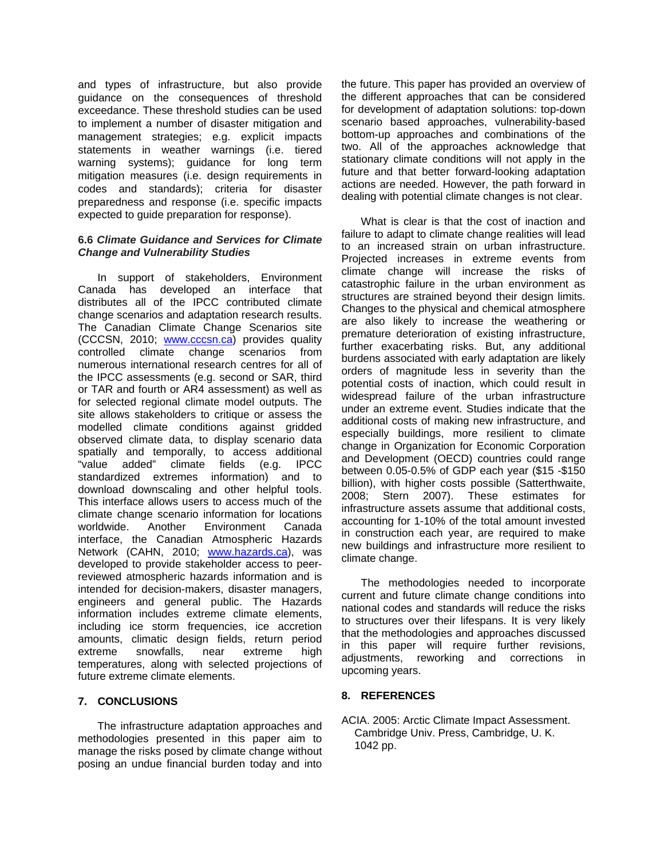and types of infrastructure, but also provide guidance on the consequences of threshold exceedance. These threshold studies can be used to implement a number of disaster mitigation and management strategies; e.g. explicit impacts statements in weather warnings (i.e. tiered warning systems); guidance for long term mitigation measures (i.e. design requirements in codes and standards); criteria for disaster preparedness and response (i.e. specific impacts expected to guide preparation for response).

### **6.6** *Climate Guidance and Services for Climate Change and Vulnerability Studies*

In support of stakeholders, Environment Canada has developed an interface that distributes all of the IPCC contributed climate change scenarios and adaptation research results. The Canadian Climate Change Scenarios site (CCCSN, 2010; www.cccsn.ca) provides quality controlled climate change scenarios from numerous international research centres for all of the IPCC assessments (e.g. second or SAR, third or TAR and fourth or AR4 assessment) as well as for selected regional climate model outputs. The site allows stakeholders to critique or assess the modelled climate conditions against gridded observed climate data, to display scenario data spatially and temporally, to access additional "value added" climate fields (e.g. IPCC standardized extremes information) and to download downscaling and other helpful tools. This interface allows users to access much of the climate change scenario information for locations worldwide. Another Environment Canada interface, the Canadian Atmospheric Hazards Network (CAHN, 2010; www.hazards.ca), was developed to provide stakeholder access to peerreviewed atmospheric hazards information and is intended for decision-makers, disaster managers, engineers and general public. The Hazards information includes extreme climate elements, including ice storm frequencies, ice accretion amounts, climatic design fields, return period extreme snowfalls, near extreme high temperatures, along with selected projections of future extreme climate elements.

# **7. CONCLUSIONS**

The infrastructure adaptation approaches and methodologies presented in this paper aim to manage the risks posed by climate change without posing an undue financial burden today and into

the future. This paper has provided an overview of the different approaches that can be considered for development of adaptation solutions: top-down scenario based approaches, vulnerability-based bottom-up approaches and combinations of the two. All of the approaches acknowledge that stationary climate conditions will not apply in the future and that better forward-looking adaptation actions are needed. However, the path forward in dealing with potential climate changes is not clear.

What is clear is that the cost of inaction and failure to adapt to climate change realities will lead to an increased strain on urban infrastructure. Projected increases in extreme events from climate change will increase the risks of catastrophic failure in the urban environment as structures are strained beyond their design limits. Changes to the physical and chemical atmosphere are also likely to increase the weathering or premature deterioration of existing infrastructure, further exacerbating risks. But, any additional burdens associated with early adaptation are likely orders of magnitude less in severity than the potential costs of inaction, which could result in widespread failure of the urban infrastructure under an extreme event. Studies indicate that the additional costs of making new infrastructure, and especially buildings, more resilient to climate change in Organization for Economic Corporation and Development (OECD) countries could range between 0.05-0.5% of GDP each year (\$15 -\$150 billion), with higher costs possible (Satterthwaite, 2008; Stern 2007). These estimates for infrastructure assets assume that additional costs, accounting for 1-10% of the total amount invested in construction each year, are required to make new buildings and infrastructure more resilient to climate change.

The methodologies needed to incorporate current and future climate change conditions into national codes and standards will reduce the risks to structures over their lifespans. It is very likely that the methodologies and approaches discussed in this paper will require further revisions, adjustments, reworking and corrections in upcoming years.

# **8. REFERENCES**

ACIA. 2005: Arctic Climate Impact Assessment. Cambridge Univ. Press, Cambridge, U. K. 1042 pp.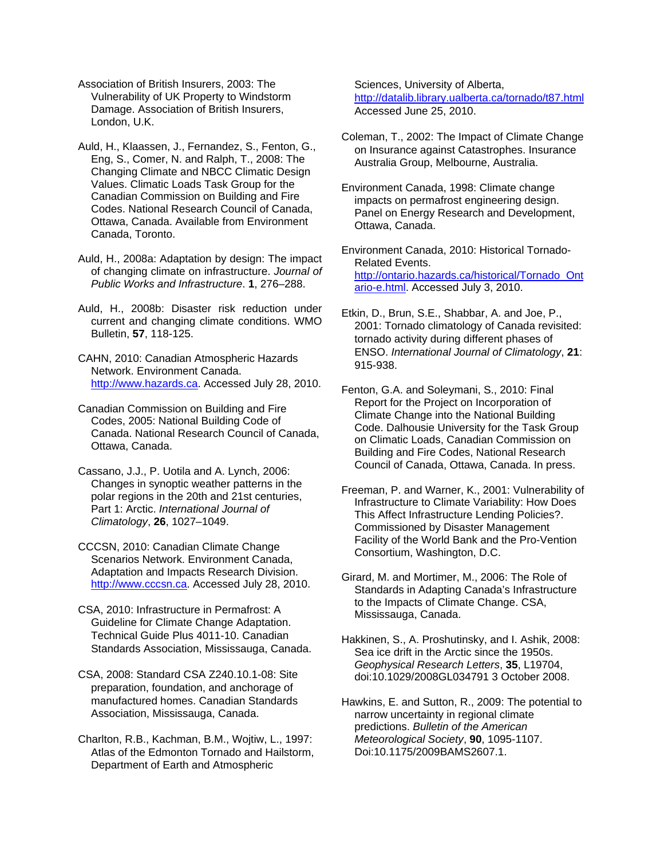- Association of British Insurers, 2003: The Vulnerability of UK Property to Windstorm Damage. Association of British Insurers, London, U.K.
- Auld, H., Klaassen, J., Fernandez, S., Fenton, G., Eng, S., Comer, N. and Ralph, T., 2008: The Changing Climate and NBCC Climatic Design Values. Climatic Loads Task Group for the Canadian Commission on Building and Fire Codes. National Research Council of Canada, Ottawa, Canada. Available from Environment Canada, Toronto.
- Auld, H., 2008a: Adaptation by design: The impact of changing climate on infrastructure. *Journal of Public Works and Infrastructure*. **1**, 276–288.
- Auld, H., 2008b: Disaster risk reduction under current and changing climate conditions. WMO Bulletin, **57**, 118-125.
- CAHN, 2010: Canadian Atmospheric Hazards Network. Environment Canada. http://www.hazards.ca. Accessed July 28, 2010.
- Canadian Commission on Building and Fire Codes, 2005: National Building Code of Canada. National Research Council of Canada, Ottawa, Canada.
- Cassano, J.J., P. Uotila and A. Lynch, 2006: Changes in synoptic weather patterns in the polar regions in the 20th and 21st centuries, Part 1: Arctic. *International Journal of Climatology*, **26**, 1027–1049.
- CCCSN, 2010: Canadian Climate Change Scenarios Network. Environment Canada, Adaptation and Impacts Research Division. http://www.cccsn.ca. Accessed July 28, 2010.
- CSA, 2010: Infrastructure in Permafrost: A Guideline for Climate Change Adaptation. Technical Guide Plus 4011-10. Canadian Standards Association, Mississauga, Canada.
- CSA, 2008: Standard CSA Z240.10.1-08: Site preparation, foundation, and anchorage of manufactured homes. Canadian Standards Association, Mississauga, Canada.
- Charlton, R.B., Kachman, B.M., Wojtiw, L., 1997: Atlas of the Edmonton Tornado and Hailstorm, Department of Earth and Atmospheric

Sciences, University of Alberta, http://datalib.library.ualberta.ca/tornado/t87.html Accessed June 25, 2010.

- Coleman, T., 2002: The Impact of Climate Change on Insurance against Catastrophes. Insurance Australia Group, Melbourne, Australia.
- Environment Canada, 1998: Climate change impacts on permafrost engineering design. Panel on Energy Research and Development, Ottawa, Canada.

Environment Canada, 2010: Historical Tornado-Related Events. http://ontario.hazards.ca/historical/Tornado\_Ont ario-e.html. Accessed July 3, 2010.

- Etkin, D., Brun, S.E., Shabbar, A. and Joe, P., 2001: Tornado climatology of Canada revisited: tornado activity during different phases of ENSO. *International Journal of Climatology*, **21**: 915-938.
- Fenton, G.A. and Soleymani, S., 2010: Final Report for the Project on Incorporation of Climate Change into the National Building Code. Dalhousie University for the Task Group on Climatic Loads, Canadian Commission on Building and Fire Codes, National Research Council of Canada, Ottawa, Canada. In press.
- Freeman, P. and Warner, K., 2001: Vulnerability of Infrastructure to Climate Variability: How Does This Affect Infrastructure Lending Policies?. Commissioned by Disaster Management Facility of the World Bank and the Pro-Vention Consortium, Washington, D.C.
- Girard, M. and Mortimer, M., 2006: The Role of Standards in Adapting Canada's Infrastructure to the Impacts of Climate Change. CSA, Mississauga, Canada.
- Hakkinen, S., A. Proshutinsky, and I. Ashik, 2008: Sea ice drift in the Arctic since the 1950s. *Geophysical Research Letters*, **35**, L19704, doi:10.1029/2008GL034791 3 October 2008.
- Hawkins, E. and Sutton, R., 2009: The potential to narrow uncertainty in regional climate predictions. *Bulletin of the American Meteorological Society*, **90**, 1095-1107. Doi:10.1175/2009BAMS2607.1.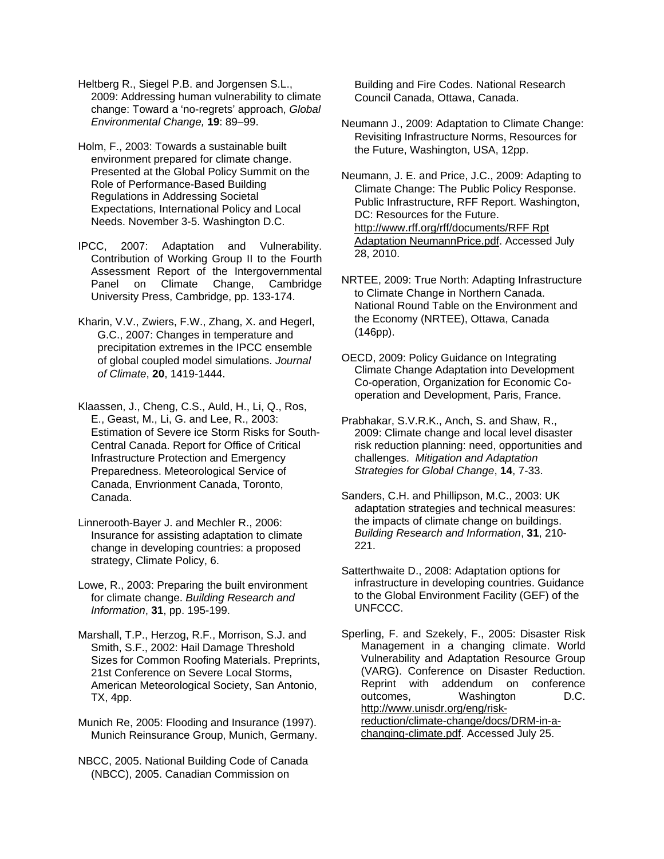Heltberg R., Siegel P.B. and Jorgensen S.L., 2009: Addressing human vulnerability to climate change: Toward a 'no-regrets' approach, *Global Environmental Change,* **19**: 89–99.

Holm, F., 2003: Towards a sustainable built environment prepared for climate change. Presented at the Global Policy Summit on the Role of Performance-Based Building Regulations in Addressing Societal Expectations, International Policy and Local Needs. November 3-5. Washington D.C.

IPCC, 2007: Adaptation and Vulnerability. Contribution of Working Group II to the Fourth Assessment Report of the Intergovernmental Panel on Climate Change, Cambridge University Press, Cambridge, pp. 133-174.

Kharin, V.V., Zwiers, F.W., Zhang, X. and Hegerl, G.C., 2007: Changes in temperature and precipitation extremes in the IPCC ensemble of global coupled model simulations. *Journal of Climate*, **20**, 1419-1444.

Klaassen, J., Cheng, C.S., Auld, H., Li, Q., Ros, E., Geast, M., Li, G. and Lee, R., 2003: Estimation of Severe ice Storm Risks for South-Central Canada. Report for Office of Critical Infrastructure Protection and Emergency Preparedness. Meteorological Service of Canada, Envrionment Canada, Toronto, Canada.

Linnerooth-Bayer J. and Mechler R., 2006: Insurance for assisting adaptation to climate change in developing countries: a proposed strategy, Climate Policy, 6.

Lowe, R., 2003: Preparing the built environment for climate change. *Building Research and Information*, **31**, pp. 195-199.

Marshall, T.P., Herzog, R.F., Morrison, S.J. and Smith, S.F., 2002: Hail Damage Threshold Sizes for Common Roofing Materials. Preprints, 21st Conference on Severe Local Storms, American Meteorological Society, San Antonio, TX, 4pp.

Munich Re, 2005: Flooding and Insurance (1997). Munich Reinsurance Group, Munich, Germany.

NBCC, 2005. National Building Code of Canada (NBCC), 2005. Canadian Commission on

Building and Fire Codes. National Research Council Canada, Ottawa, Canada.

Neumann J., 2009: Adaptation to Climate Change: Revisiting Infrastructure Norms, Resources for the Future, Washington, USA, 12pp.

Neumann, J. E. and Price, J.C., 2009: Adapting to Climate Change: The Public Policy Response. Public Infrastructure, RFF Report. Washington, DC: Resources for the Future. http://www.rff.org/rff/documents/RFF Rpt Adaptation NeumannPrice.pdf. Accessed July 28, 2010.

NRTEE, 2009: True North: Adapting Infrastructure to Climate Change in Northern Canada. National Round Table on the Environment and the Economy (NRTEE), Ottawa, Canada (146pp).

OECD, 2009: Policy Guidance on Integrating Climate Change Adaptation into Development Co-operation, Organization for Economic Cooperation and Development, Paris, France.

Prabhakar, S.V.R.K., Anch, S. and Shaw, R., 2009: Climate change and local level disaster risk reduction planning: need, opportunities and challenges. *Mitigation and Adaptation Strategies for Global Change*, **14**, 7-33.

Sanders, C.H. and Phillipson, M.C., 2003: UK adaptation strategies and technical measures: the impacts of climate change on buildings. *Building Research and Information*, **31**, 210- 221.

Satterthwaite D., 2008: Adaptation options for infrastructure in developing countries. Guidance to the Global Environment Facility (GEF) of the UNFCCC.

Sperling, F. and Szekely, F., 2005: Disaster Risk Management in a changing climate. World Vulnerability and Adaptation Resource Group (VARG). Conference on Disaster Reduction. Reprint with addendum on conference outcomes, Washington D.C. http://www.unisdr.org/eng/riskreduction/climate-change/docs/DRM-in-achanging-climate.pdf. Accessed July 25.